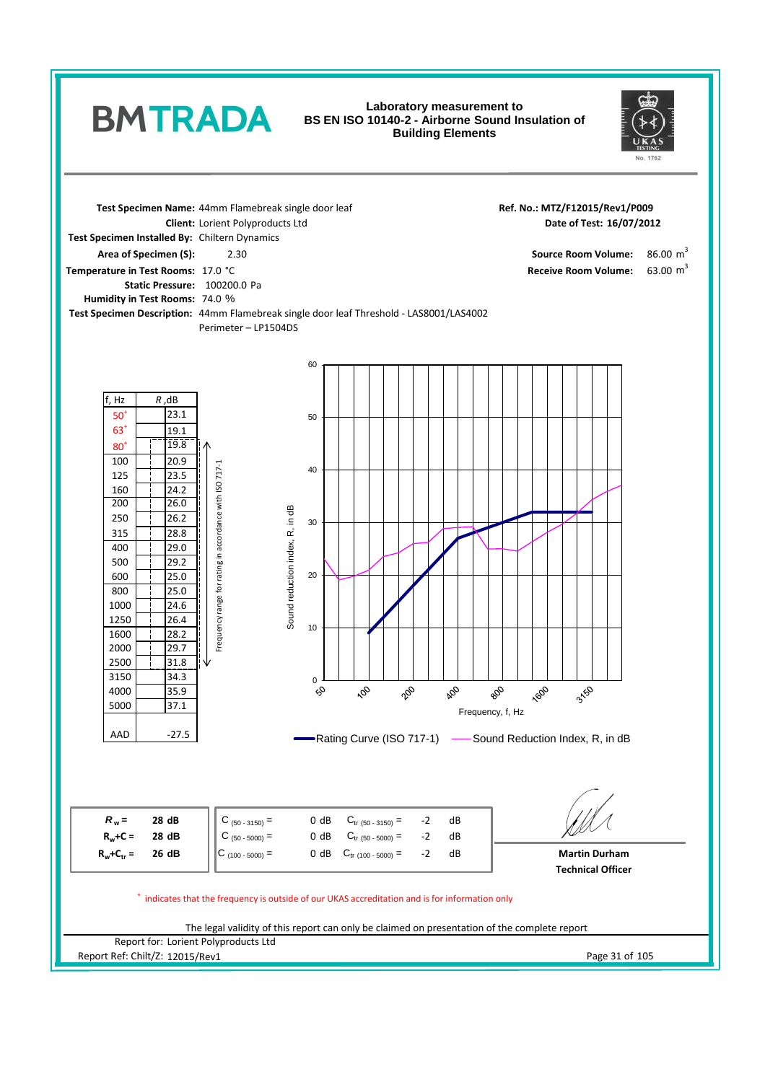